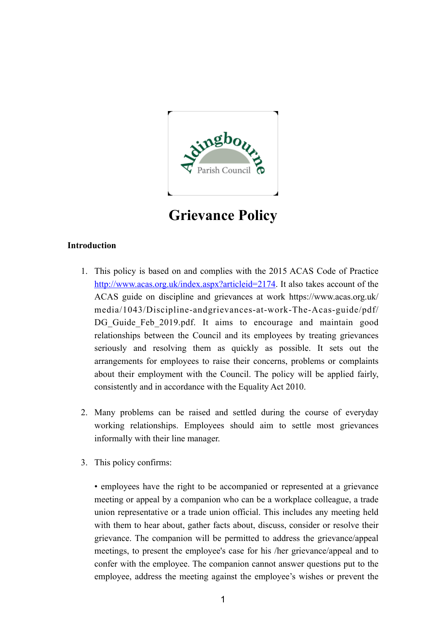

**Grievance Policy**

# **Introduction**

- 1. This policy is based on and complies with the 2015 ACAS Code of Practice [http://www.acas.org.uk/index.aspx?articleid=2174.](http://www.acas.org.uk/index.aspx?articleid=2174) It also takes account of the ACAS guide on discipline and grievances at work https://www.acas.org.uk/ media/1043/Discipline-andgrievances-at-work-The-Acas-guide/pdf/ DG Guide Feb 2019.pdf. It aims to encourage and maintain good relationships between the Council and its employees by treating grievances seriously and resolving them as quickly as possible. It sets out the arrangements for employees to raise their concerns, problems or complaints about their employment with the Council. The policy will be applied fairly, consistently and in accordance with the Equality Act 2010.
- 2. Many problems can be raised and settled during the course of everyday working relationships. Employees should aim to settle most grievances informally with their line manager.
- 3. This policy confirms:

• employees have the right to be accompanied or represented at a grievance meeting or appeal by a companion who can be a workplace colleague, a trade union representative or a trade union official. This includes any meeting held with them to hear about, gather facts about, discuss, consider or resolve their grievance. The companion will be permitted to address the grievance/appeal meetings, to present the employee's case for his /her grievance/appeal and to confer with the employee. The companion cannot answer questions put to the employee, address the meeting against the employee's wishes or prevent the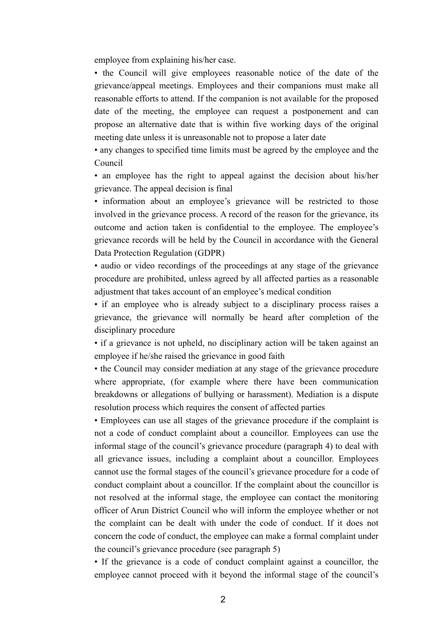employee from explaining his/her case.

• the Council will give employees reasonable notice of the date of the grievance/appeal meetings. Employees and their companions must make all reasonable efforts to attend. If the companion is not available for the proposed date of the meeting, the employee can request a postponement and can propose an alternative date that is within five working days of the original meeting date unless it is unreasonable not to propose a later date

• any changes to specified time limits must be agreed by the employee and the Council

• an employee has the right to appeal against the decision about his/her grievance. The appeal decision is final

• information about an employee's grievance will be restricted to those involved in the grievance process. A record of the reason for the grievance, its outcome and action taken is confidential to the employee. The employee's grievance records will be held by the Council in accordance with the General Data Protection Regulation (GDPR)

• audio or video recordings of the proceedings at any stage of the grievance procedure are prohibited, unless agreed by all affected parties as a reasonable adjustment that takes account of an employee's medical condition

• if an employee who is already subject to a disciplinary process raises a grievance, the grievance will normally be heard after completion of the disciplinary procedure

• if a grievance is not upheld, no disciplinary action will be taken against an employee if he/she raised the grievance in good faith

• the Council may consider mediation at any stage of the grievance procedure where appropriate, (for example where there have been communication breakdowns or allegations of bullying or harassment). Mediation is a dispute resolution process which requires the consent of affected parties

• Employees can use all stages of the grievance procedure if the complaint is not a code of conduct complaint about a councillor. Employees can use the informal stage of the council's grievance procedure (paragraph 4) to deal with all grievance issues, including a complaint about a councillor. Employees cannot use the formal stages of the council's grievance procedure for a code of conduct complaint about a councillor. If the complaint about the councillor is not resolved at the informal stage, the employee can contact the monitoring officer of Arun District Council who will inform the employee whether or not the complaint can be dealt with under the code of conduct. If it does not concern the code of conduct, the employee can make a formal complaint under the council's grievance procedure (see paragraph 5)

• If the grievance is a code of conduct complaint against a councillor, the employee cannot proceed with it beyond the informal stage of the council's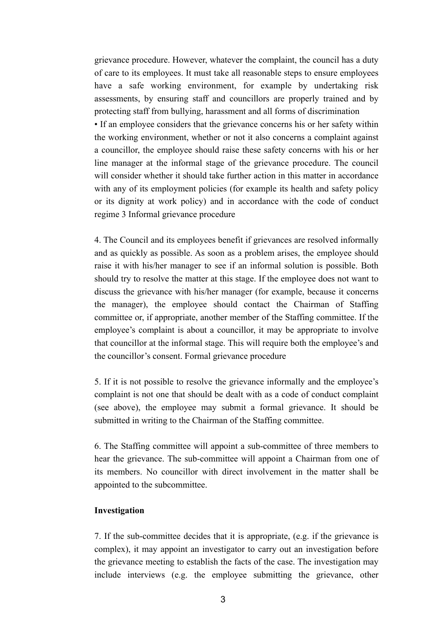grievance procedure. However, whatever the complaint, the council has a duty of care to its employees. It must take all reasonable steps to ensure employees have a safe working environment, for example by undertaking risk assessments, by ensuring staff and councillors are properly trained and by protecting staff from bullying, harassment and all forms of discrimination • If an employee considers that the grievance concerns his or her safety within the working environment, whether or not it also concerns a complaint against a councillor, the employee should raise these safety concerns with his or her line manager at the informal stage of the grievance procedure. The council will consider whether it should take further action in this matter in accordance with any of its employment policies (for example its health and safety policy or its dignity at work policy) and in accordance with the code of conduct regime 3 Informal grievance procedure

4. The Council and its employees benefit if grievances are resolved informally and as quickly as possible. As soon as a problem arises, the employee should raise it with his/her manager to see if an informal solution is possible. Both should try to resolve the matter at this stage. If the employee does not want to discuss the grievance with his/her manager (for example, because it concerns the manager), the employee should contact the Chairman of Staffing committee or, if appropriate, another member of the Staffing committee. If the employee's complaint is about a councillor, it may be appropriate to involve that councillor at the informal stage. This will require both the employee's and the councillor's consent. Formal grievance procedure

5. If it is not possible to resolve the grievance informally and the employee's complaint is not one that should be dealt with as a code of conduct complaint (see above), the employee may submit a formal grievance. It should be submitted in writing to the Chairman of the Staffing committee.

6. The Staffing committee will appoint a sub-committee of three members to hear the grievance. The sub-committee will appoint a Chairman from one of its members. No councillor with direct involvement in the matter shall be appointed to the subcommittee.

### **Investigation**

7. If the sub-committee decides that it is appropriate, (e.g. if the grievance is complex), it may appoint an investigator to carry out an investigation before the grievance meeting to establish the facts of the case. The investigation may include interviews (e.g. the employee submitting the grievance, other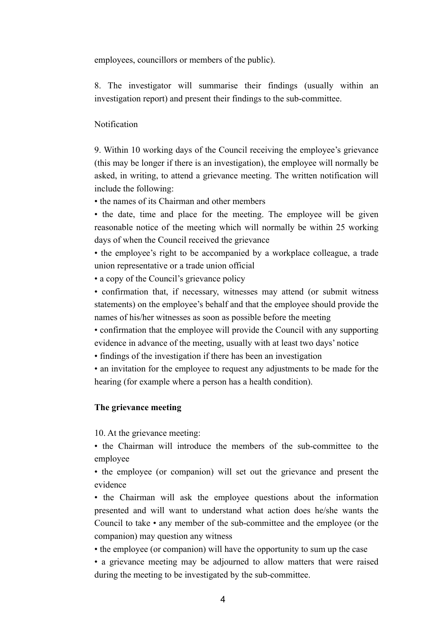employees, councillors or members of the public).

8. The investigator will summarise their findings (usually within an investigation report) and present their findings to the sub-committee.

## Notification

9. Within 10 working days of the Council receiving the employee's grievance (this may be longer if there is an investigation), the employee will normally be asked, in writing, to attend a grievance meeting. The written notification will include the following:

• the names of its Chairman and other members

• the date, time and place for the meeting. The employee will be given reasonable notice of the meeting which will normally be within 25 working days of when the Council received the grievance

• the employee's right to be accompanied by a workplace colleague, a trade union representative or a trade union official

• a copy of the Council's grievance policy

• confirmation that, if necessary, witnesses may attend (or submit witness statements) on the employee's behalf and that the employee should provide the names of his/her witnesses as soon as possible before the meeting

• confirmation that the employee will provide the Council with any supporting evidence in advance of the meeting, usually with at least two days' notice

• findings of the investigation if there has been an investigation

• an invitation for the employee to request any adjustments to be made for the hearing (for example where a person has a health condition).

### **The grievance meeting**

10. At the grievance meeting:

• the Chairman will introduce the members of the sub-committee to the employee

• the employee (or companion) will set out the grievance and present the evidence

• the Chairman will ask the employee questions about the information presented and will want to understand what action does he/she wants the Council to take • any member of the sub-committee and the employee (or the companion) may question any witness

• the employee (or companion) will have the opportunity to sum up the case

• a grievance meeting may be adjourned to allow matters that were raised during the meeting to be investigated by the sub-committee.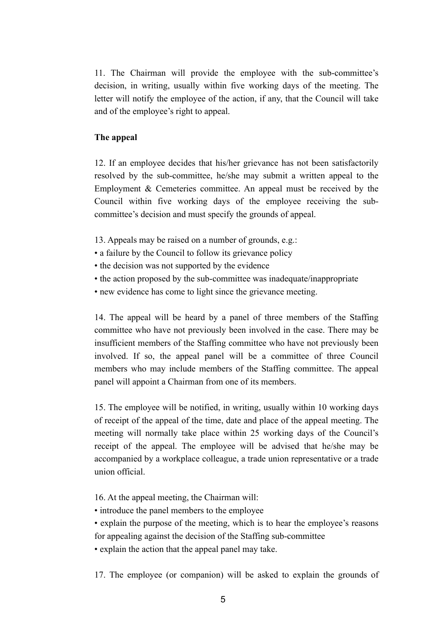11. The Chairman will provide the employee with the sub-committee's decision, in writing, usually within five working days of the meeting. The letter will notify the employee of the action, if any, that the Council will take and of the employee's right to appeal.

### **The appeal**

12. If an employee decides that his/her grievance has not been satisfactorily resolved by the sub-committee, he/she may submit a written appeal to the Employment & Cemeteries committee. An appeal must be received by the Council within five working days of the employee receiving the subcommittee's decision and must specify the grounds of appeal.

- 13. Appeals may be raised on a number of grounds, e.g.:
- a failure by the Council to follow its grievance policy
- the decision was not supported by the evidence
- the action proposed by the sub-committee was inadequate/inappropriate
- new evidence has come to light since the grievance meeting.

14. The appeal will be heard by a panel of three members of the Staffing committee who have not previously been involved in the case. There may be insufficient members of the Staffing committee who have not previously been involved. If so, the appeal panel will be a committee of three Council members who may include members of the Staffing committee. The appeal panel will appoint a Chairman from one of its members.

15. The employee will be notified, in writing, usually within 10 working days of receipt of the appeal of the time, date and place of the appeal meeting. The meeting will normally take place within 25 working days of the Council's receipt of the appeal. The employee will be advised that he/she may be accompanied by a workplace colleague, a trade union representative or a trade union official.

16. At the appeal meeting, the Chairman will:

- introduce the panel members to the employee
- explain the purpose of the meeting, which is to hear the employee's reasons for appealing against the decision of the Staffing sub-committee
- explain the action that the appeal panel may take.

17. The employee (or companion) will be asked to explain the grounds of